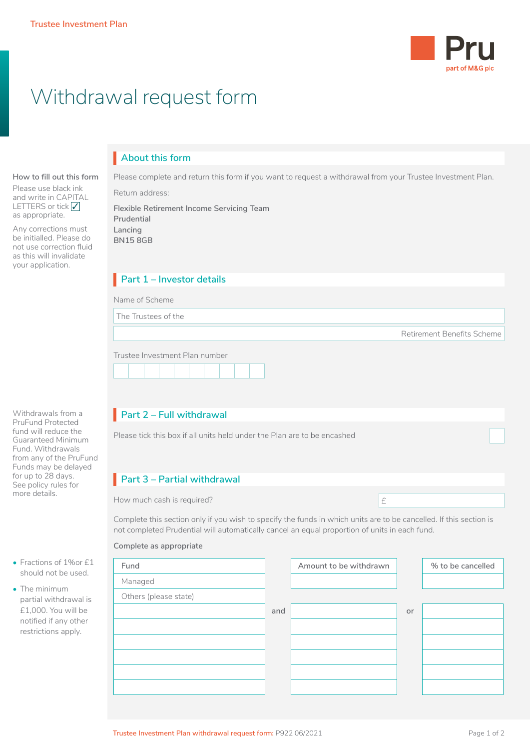**How to fill out this form** Please use black ink and write in CAPITAL LETTERS or tick √<br>as appropriate as appropriate. Any corrections must be initialled. Please do not use correction fluid as this will invalidate your application.



# Withdrawal request form

## **About this form** I

Please complete and return this form if you want to request a withdrawal from your Trustee Investment Plan.

Return address:

**Flexible Retirement Income Servicing Team Prudential Lancing BN15 8GB**

## **Part 1 – Investor details**

|  | Name of Scheme |
|--|----------------|
|  |                |

The Trustees of the

Retirement Benefits Scheme

 $\Box$ 

|  | Trustee Investment Plan number |  |  |  |
|--|--------------------------------|--|--|--|
|  |                                |  |  |  |

## **Part 2 – Full withdrawal**

Please tick this box if all units held under the Plan are to be encashed

## **Part 3 – Partial withdrawal**

How much cash is required? **EXECUTE:**  $\mathbf{f}$ 

Complete this section only if you wish to specify the funds in which units are to be cancelled. If this section is not completed Prudential will automatically cancel an equal proportion of units in each fund.

#### **Complete as appropriate**

| Fund                  |     | Amount to be withdrawn |    | % to be cancelled |
|-----------------------|-----|------------------------|----|-------------------|
| Managed               |     |                        |    |                   |
| Others (please state) |     |                        |    |                   |
|                       | and |                        | or |                   |
|                       |     |                        |    |                   |
|                       |     |                        |    |                   |
|                       |     |                        |    |                   |
|                       |     |                        |    |                   |
|                       |     |                        |    |                   |

• Fractions of 1%or £1

Withdrawals from a PruFund Protected fund will reduce the Guaranteed Minimum Fund. Withdrawals from any of the PruFund Funds may be delayed for up to 28 days. See policy rules for more details.

- should not be used.
- The minimum partial withdrawal is £1,000. You will be notified if any other restrictions apply.